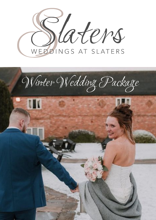

# Winter Wedding Package

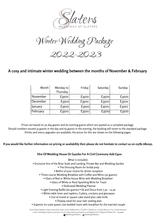

Winter Wedding &

2022-2023

# **A cosy and intimate winter wedding between the months of November & February**

| Month    | Monday to<br>Thursday | Friday | Saturday          | Sunday |
|----------|-----------------------|--------|-------------------|--------|
| November | £3500                 | £3500  | $E35$ oo          | £3500  |
| December | f3500                 | £3500  | E <sub>3500</sub> | £3500  |
| January  | £3500                 | f3500  | £3500             | £3500  |
| February | £3500                 | £3500  | $E$ 3500          | f3500  |

Prices are based on 30 day guests and 60 evening guests which are quoted as a complete package. Should numbers exceed 35 guests in the day and 65 guests in the evening, the booking will revert to the standard package. Drinks and menu upgrades are available, the prices for this are shown on the following pages.

# If you would like further information on pricing or availability then please do not hesitate to contact us on 01782 680052.

# **Hire Of Wedding House Or Gazebo For A Civil Ceremony Add £400**

What is included:

- Exclusive hire of the Briar Suite and Landing, Private Bar and Wedding Garden
	- The Dressing Room for bridal prep
	- Bellini of your choice for drinks reception
	- Three course Wedding Breakfast with Coffee and Mints (30 guests)
		- Glass of Red or White House Wine with Wedding Breakfast
			- Glass of White or Rosé Sparkling Wine for Toast
				- Dedicated Wedding Planner
	- Light Evening Buffet (60 guests) DJ and Disco from 7.30 12.30
	- White table linen and napkins, Cutlery, crockery and glassware
		- Use of round or square cake stand plus cake knife
			- Display easel for your own seating plan
- Superior en-suite queen size bedded room with breakfast for the married couple

Stone Road, Baldwins Gate, Newcastle under Lyme, Staffordshire. ST5 5ED • Telephone: (01782) 680052 • Fax: (01782) 680136 • e.mail: weddings@slaterscountryinn.co.uk • www.slaterscountryinn.co.uk Registered in England & Wales No.: 02543346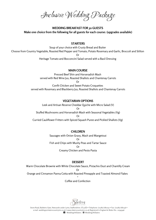Inclusive Wedding Package

**WEDDING BREAKFAST FOR 30 GUESTS Make one choice from the following for all guests for each course: (upgrades available)**

# **STARTERS**

Soup of your choice with Crusty Bread and Butter Choose from Country Vegetable, Roasted Red Pepper and Tomato, Potato Rosemary and Garlic, Broccoli and Stilton Or Heritage Tomato and Bocconcini Salad served with a Basil Dressing

# **MAIN COURSE**

Pressed Beef Shin and Horseradish Mash served with Red Wine Jus, Roasted Shallots and Chantenay Carrots

Or

Confit Chicken and Sweet Potato Croquettes served with Rosemary and Blackberry Jus, Roasted Shallots and Chantenay Carrots

# **VEGETARIAN OPTIONS**

Leek and Artisan Reserve Cheddar Quiche with Micro Salad (V) Or Stuffed Mushrooms and Horseradish Mash with Seasonal Vegetables (Vg) Or Curried Cauliflower Fritters with Spiced Squash Puree and Pickled Shallots (Vg)

# **CHILDREN**

Sausages with Onion Gravy, Mash and Mangetout Or Fish and Chips with Mushy Peas and Tartar Sauce Or Creamy Chicken and Pesto Pasta

# **DESSERT**

Warm Chocolate Brownie with White Chocolate Sauce, Pistachio Dust and Chantilly Cream Or Orange and Cinnamon Panna Cotta with Roasted Pineapple and Toasted Almond Flakes \* Coffee and Confection

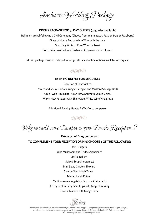Inclusive Wedding Package

# **DRINKS PACKAGE FOR 30 DAY GUESTS (upgrades available)**

Bellini on arrival/following a Civil Ceremony (Choose from White peach, Passion fruit or Raspberry) Glass of House Red or White Wine with the meal Sparkling White or Rosé Wine for Toast Soft drinks provided in all instances for guests under 18 years

(drinks package must be included for all guests - alcohol free options available on request)



# **EVENING BUFFET FOR 60 GUESTS**

Selection of Sandwiches, Sweet and Sticky Chicken Wings, Tarragon and Mustard Sausage Rolls Greek Wild Rice Salad, Asian Slaw, Southern Spiced Chips, Warm New Potatoes with Shallot and White Wine Vinaigrette

Additional Evening Guests Buffet £11.50 per person

 $\sim$ 

Why not add some Canases to your Drinks Recestion...?

**Extra cost of £4.95 per person TO COMPLEMENT YOUR RECEPTION DRINKS CHOOSE 4 OF THE FOLLOWING:**

> Mini Burgers Wild Mushroom and Truffle Arancini (v) Crystal Rolls (v) Spiced Soup Shooters (v) Mini Satay Chicken Skewers Salmon Sourdough Toast Minted Lamb Koftas Mediterranean Vegetable Pesto on Ciabatta (v) Crispy Beef in Baby Gem Cups with Ginger Dressing

Prawn Tostado with Mango Salsa

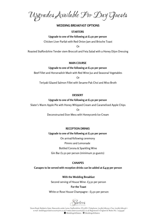Upgrades Available For Day Guests

# **WEDDING BREAKFAST OPTIONS**

# **STARTERS**

#### **Upgrade to one of the following at £1.50 per person**

Chicken Liver Parfait with Red Onion Jam and Brioche Toast

Or

Roasted Staffordshire Tender stem Broccoli and Feta Salad with a Honey Dijon Dressing

#### **MAIN COURSE**

## **Upgrade to one of the following at £1.50 per person**

Beef Fillet and Horseradish Mash with Red Wine Jus and Seasonal Vegetables

Or

Teriyaki Glazed Salmon Fillet with Sesame Pak Choi and Miso Broth

#### **DESSERT**

#### **Upgrade to one of the following at £1.50 per person**

Slater's Warm Apple Pie with Honey Whipped Cream and Caramelised Apple Chips

Or

Deconstructed Eton Mess with Honeycomb Ice Cream

#### **RECEPTION DRINKS**

#### **Upgrade to one of the following at £1.50 per person**

On arrival/following ceremony Pimms and Lemonade Bottled Corona & Sparkling Wine Gin Bar £2.50 per person (minimum 50 guests)

#### **CANAPES**

**Canapes to be served with reception drinks can be added at £4.95 per person**

**With the Wedding Breakfast**

Second serving of House Wine- £3.50 per person

#### **For the Toast**

#### White or Rose House Champagne - £3.50 per person

Slaters

Stone Road, Baldwins Gate, Newcastle under Lyme, Staffordshire. ST5 5ED • Telephone: (01782) 680052 • Fax: (01782) 680136 • e.mail: weddings@slaterscountryinn.co.uk • www.slaterscountryinn.co.uk Registered in England & Wales No.: 02543346 WeddingsAtSlaters @ WeddingsAtSlaters